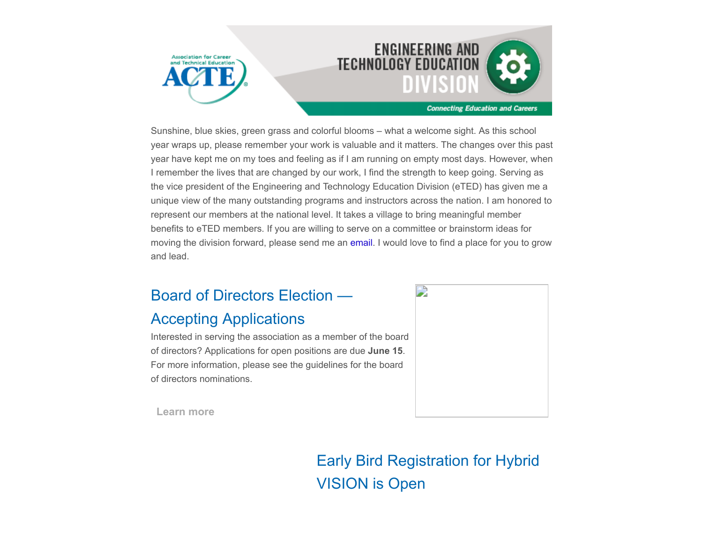

Sunshine, blue skies, green grass and colorful blooms – what a welcome sight. As this school year wraps up, please remember your work is valuable and it matters. The changes over this past year have kept me on my toes and feeling as if I am running on empty most days. However, when I remember the lives that are changed by our work, I find the strength to keep going. Serving as the vice president of the Engineering and Technology Education Division (eTED) has given me a unique view of the many outstanding programs and instructors across the nation. I am honored to represent our members at the national level. It takes a village to bring meaningful member benefits to eTED members. If you are willing to serve on a committee or brainstorm ideas for moving the division forward, please send me an [email.](mailto:richelle.krumsiek@tulsatech.edu?subject=Committee%2Fideas) I would love to find a place for you to grow and lead.

### Board of Directors Election —

#### Accepting Applications

Interested in serving the association as a member of the board of directors? Applications for open positions are due **June 15**. For more information, please see the guidelines for the board of directors nominations.



**[Learn more](https://www.acteonline.org/about/get-involved/board-election/)**

Early Bird Registration for Hybrid VISION is Open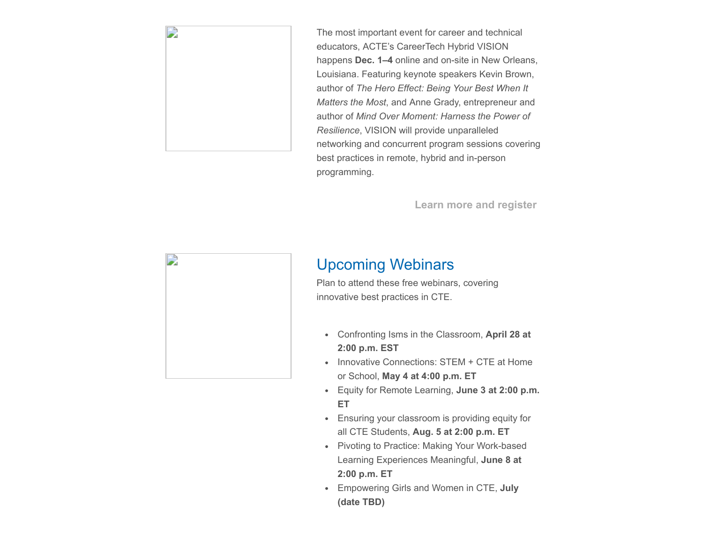

The most important event for career and technical educators, ACTE's CareerTech Hybrid VISION happens **Dec. 1–4** online and on-site in New Orleans, Louisiana. Featuring keynote speakers Kevin Brown, author of *The Hero Effect: Being Your Best When It Matters the Most*, and Anne Grady, entrepreneur and author of *Mind Over Moment: Harness the Power of Resilience*, VISION will provide unparalleled networking and concurrent program sessions covering best practices in remote, hybrid and in-person programming.

**[Learn more and register](https://www.careertechvision.com/index.cfm)**



### Upcoming Webinars

Plan to attend these free webinars, covering innovative best practices in CTE.

- Confronting Isms in the Classroom, **April 28 at 2:00 p.m. EST**
- Innovative Connections: STEM + CTE at Home or School, **May 4 at 4:00 p.m. ET**
- Equity for Remote Learning, **June 3 at 2:00 p.m. ET**
- Ensuring your classroom is providing equity for all CTE Students, **Aug. 5 at 2:00 p.m. ET**
- Pivoting to Practice: Making Your Work-based Learning Experiences Meaningful, **June 8 at 2:00 p.m. ET**
- Empowering Girls and Women in CTE, **July (date TBD)**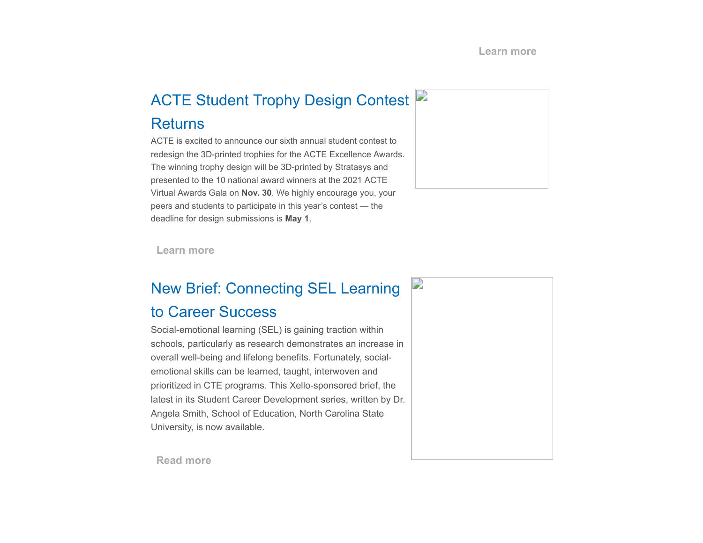## ACTE Student Trophy Design Contest **Returns**

ACTE is excited to announce our sixth annual student contest to redesign the 3D-printed trophies for the ACTE Excellence Awards. The winning trophy design will be 3D-printed by Stratasys and presented to the 10 national award winners at the 2021 ACTE Virtual Awards Gala on **Nov. 30**. We highly encourage you, your peers and students to participate in this year's contest — the deadline for design submissions is **May 1**.



**[Learn more](https://www.acteonline.org/professional-development/acte-awards/student-trophy-design-contest/)**

## New Brief: Connecting SEL Learning

#### to Career Success

Social-emotional learning (SEL) is gaining traction within schools, particularly as research demonstrates an increase in overall well-being and lifelong benefits. Fortunately, socialemotional skills can be learned, taught, interwoven and prioritized in CTE programs. This Xello-sponsored brief, the latest in its Student Career Development series, written by Dr. Angela Smith, School of Education, North Carolina State University, is now available.



**[Read more](https://www.acteonline.org/why-cte/student-career-development/)**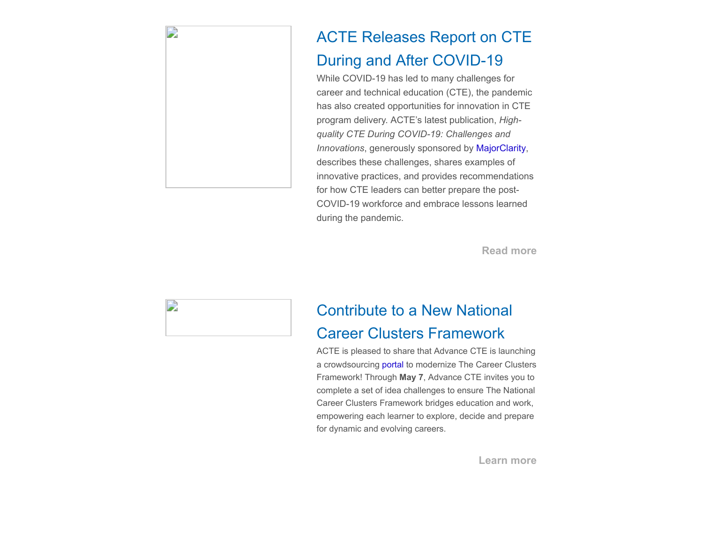

D

## ACTE Releases Report on CTE During and After COVID-19

While COVID-19 has led to many challenges for career and technical education (CTE), the pandemic has also created opportunities for innovation in CTE program delivery. ACTE's latest publication, *Highquality CTE During COVID-19: Challenges and Innovations*, generously sponsored by [MajorClarity](https://majorclarity.com/), describes these challenges, shares examples of innovative practices, and provides recommendations for how CTE leaders can better prepare the post-COVID-19 workforce and embrace lessons learned during the pandemic.

**[Read more](https://ctepolicywatch.acteonline.org/2021/03/acte-releases-report-on-cte-during-and-after-covid-19.html)**

## Contribute to a New National Career Clusters Framework

ACTE is pleased to share that Advance CTE is launching a crowdsourcing [portal](https://advancingtheframework.org/) to modernize The Career Clusters Framework! Through **May 7**, Advance CTE invites you to complete a set of idea challenges to ensure The National Career Clusters Framework bridges education and work, empowering each learner to explore, decide and prepare for dynamic and evolving careers.

**[Learn more](https://advancingtheframework.org/)**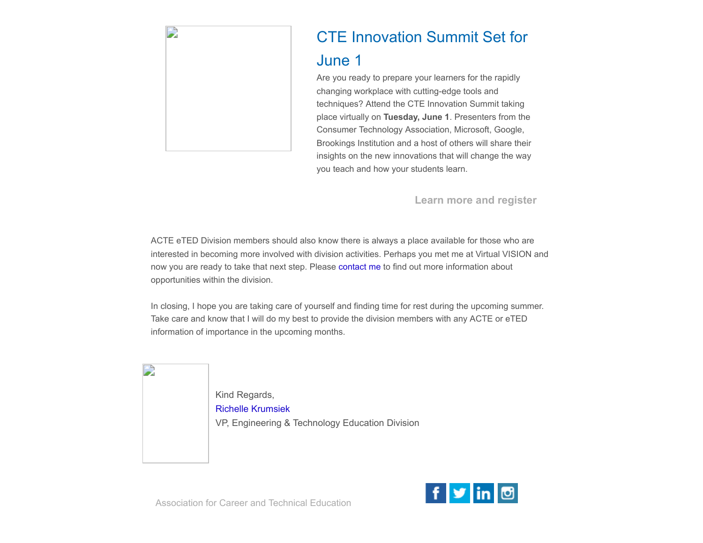

# CTE Innovation Summit Set for

#### June 1

Are you ready to prepare your learners for the rapidly changing workplace with cutting-edge tools and techniques? Attend the CTE Innovation Summit taking place virtually on **Tuesday, June 1**. Presenters from the Consumer Technology Association, Microsoft, Google, Brookings Institution and a host of others will share their insights on the new innovations that will change the way you teach and how your students learn.

**[Learn more and register](https://www.acteonline.org/cte-innovation-summit)**

ACTE eTED Division members should also know there is always a place available for those who are interested in becoming more involved with division activities. Perhaps you met me at Virtual VISION and now you are ready to take that next step. Please [contact me](mailto:richelle.krumsiek@tulsatech.edu?subject=Division%20opportunities) to find out more information about opportunities within the division.

In closing, I hope you are taking care of yourself and finding time for rest during the upcoming summer. Take care and know that I will do my best to provide the division members with any ACTE or eTED information of importance in the upcoming months.

Kind Regards, [Richelle Krumsiek](mailto:richelle.krumsiek@tulsatech.edu) VP, Engineering & Technology Education Division

Association for Career and Technical Education